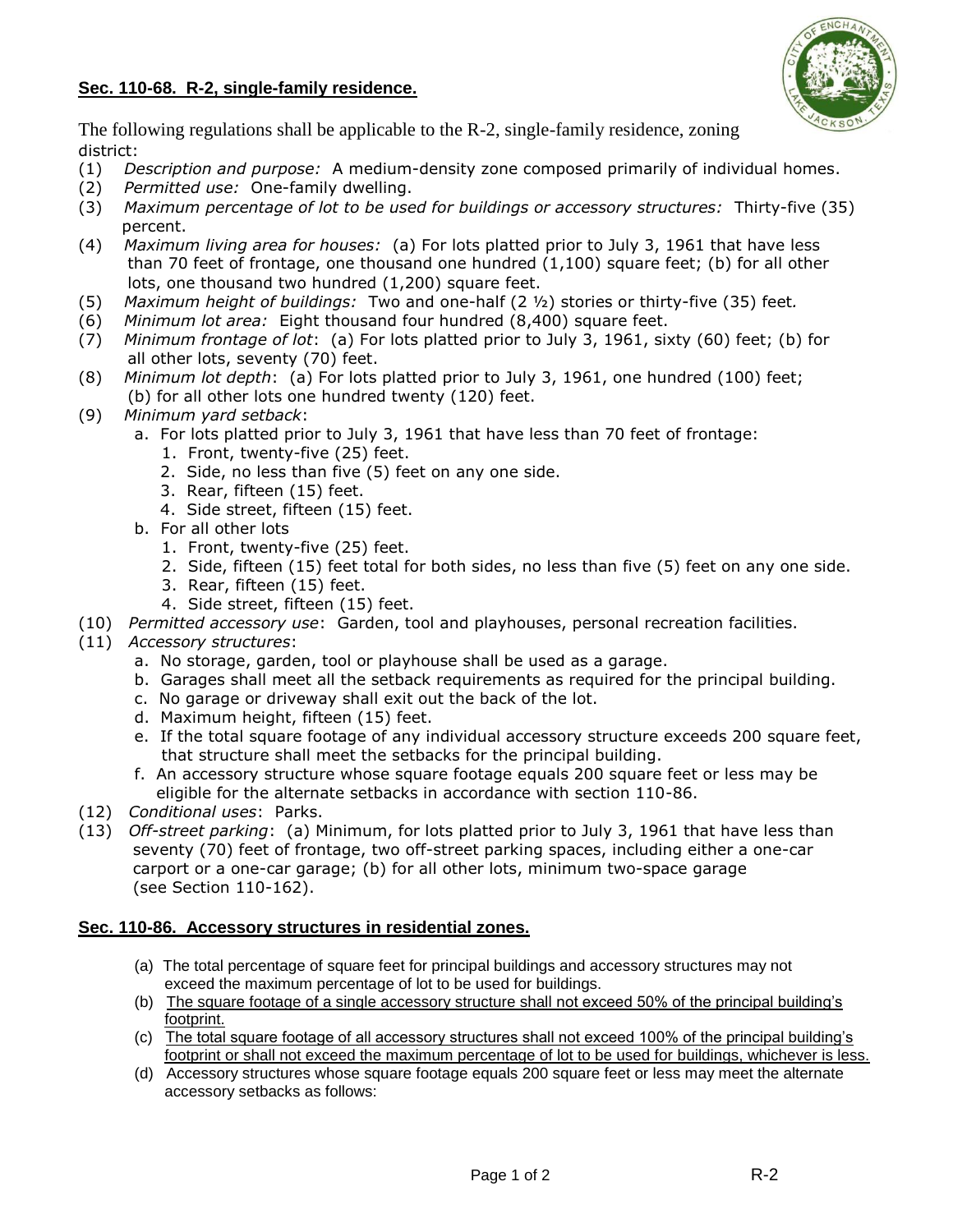## **Sec. 110-68. R-2, single-family residence.**



The following regulations shall be applicable to the R-2, single-family residence, zoning district:

- (1) *Description and purpose:* A medium-density zone composed primarily of individual homes.
- (2) *Permitted use:* One-family dwelling.
- (3) *Maximum percentage of lot to be used for buildings or accessory structures:* Thirty-five (35) percent.
- (4) *Maximum living area for houses:* (a) For lots platted prior to July 3, 1961 that have less than 70 feet of frontage, one thousand one hundred (1,100) square feet; (b) for all other lots, one thousand two hundred (1,200) square feet.
- (5) *Maximum height of buildings:* Two and one-half (2 ½) stories or thirty-five (35) feet*.*
- (6) *Minimum lot area:* Eight thousand four hundred (8,400) square feet.
- (7) *Minimum frontage of lot*: (a) For lots platted prior to July 3, 1961, sixty (60) feet; (b) for all other lots, seventy (70) feet.
- (8) *Minimum lot depth*: (a) For lots platted prior to July 3, 1961, one hundred (100) feet; (b) for all other lots one hundred twenty (120) feet.
- (9) *Minimum yard setback*:
	- a. For lots platted prior to July 3, 1961 that have less than 70 feet of frontage:
		- 1. Front, twenty-five (25) feet.
		- 2. Side, no less than five (5) feet on any one side.
		- 3. Rear, fifteen (15) feet.
		- 4. Side street, fifteen (15) feet.
	- b. For all other lots
		- 1. Front, twenty-five (25) feet.
		- 2. Side, fifteen (15) feet total for both sides, no less than five (5) feet on any one side.
		- 3. Rear, fifteen (15) feet.
		- 4. Side street, fifteen (15) feet.
- (10) *Permitted accessory use*: Garden, tool and playhouses, personal recreation facilities.
- (11) *Accessory structures*:
	- a. No storage, garden, tool or playhouse shall be used as a garage.
	- b. Garages shall meet all the setback requirements as required for the principal building.
	- c. No garage or driveway shall exit out the back of the lot.
	- d. Maximum height, fifteen (15) feet.
	- e. If the total square footage of any individual accessory structure exceeds 200 square feet, that structure shall meet the setbacks for the principal building.
	- f. An accessory structure whose square footage equals 200 square feet or less may be eligible for the alternate setbacks in accordance with section 110-86.
- (12) *Conditional uses*: Parks.
- (13) *Off-street parking*: (a) Minimum, for lots platted prior to July 3, 1961 that have less than seventy (70) feet of frontage, two off-street parking spaces, including either a one-car carport or a one-car garage; (b) for all other lots, minimum two-space garage (see Section 110-162).

## **Sec. 110-86. Accessory structures in residential zones.**

- (a) The total percentage of square feet for principal buildings and accessory structures may not exceed the maximum percentage of lot to be used for buildings.
- (b) The square footage of a single accessory structure shall not exceed 50% of the principal building's footprint.
- (c) The total square footage of all accessory structures shall not exceed 100% of the principal building's footprint or shall not exceed the maximum percentage of lot to be used for buildings, whichever is less.
- (d) Accessory structures whose square footage equals 200 square feet or less may meet the alternate accessory setbacks as follows: